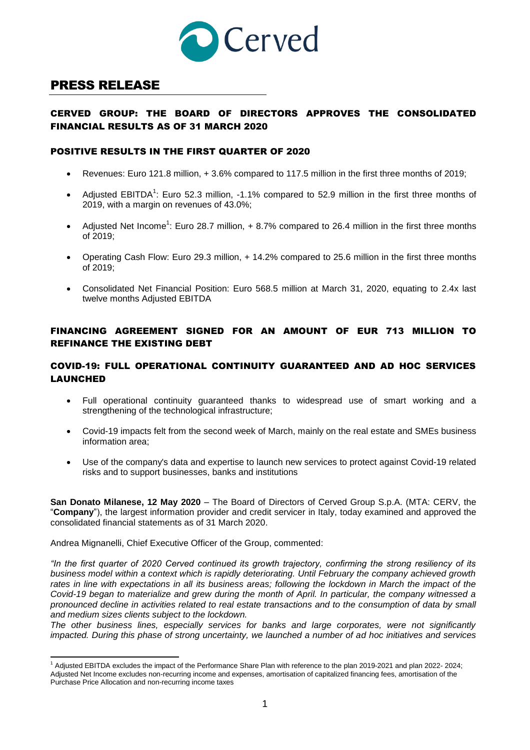

# PRESS RELEASE

## CERVED GROUP: THE BOARD OF DIRECTORS APPROVES THE CONSOLIDATED FINANCIAL RESULTS AS OF 31 MARCH 2020

### POSITIVE RESULTS IN THE FIRST QUARTER OF 2020

- Revenues: Euro 121.8 million, + 3.6% compared to 117.5 million in the first three months of 2019;
- Adjusted EBITDA<sup>1</sup>: Euro 52.3 million, -1.1% compared to 52.9 million in the first three months of 2019, with a margin on revenues of 43.0%;
- Adjusted Net Income<sup>1</sup>: Euro 28.7 million,  $+8.7\%$  compared to 26.4 million in the first three months of 2019;
- Operating Cash Flow: Euro 29.3 million, + 14.2% compared to 25.6 million in the first three months of 2019;
- Consolidated Net Financial Position: Euro 568.5 million at March 31, 2020, equating to 2.4x last twelve months Adjusted EBITDA

## FINANCING AGREEMENT SIGNED FOR AN AMOUNT OF EUR 713 MILLION TO REFINANCE THE EXISTING DEBT

### COVID-19: FULL OPERATIONAL CONTINUITY GUARANTEED AND AD HOC SERVICES LAUNCHED

- Full operational continuity guaranteed thanks to widespread use of smart working and a strengthening of the technological infrastructure;
- Covid-19 impacts felt from the second week of March, mainly on the real estate and SMEs business information area;
- Use of the company's data and expertise to launch new services to protect against Covid-19 related risks and to support businesses, banks and institutions

**San Donato Milanese, 12 May 2020** – The Board of Directors of Cerved Group S.p.A. (MTA: CERV, the "**Company**"), the largest information provider and credit servicer in Italy, today examined and approved the consolidated financial statements as of 31 March 2020.

Andrea Mignanelli, Chief Executive Officer of the Group, commented:

 $\overline{a}$ 

*"In the first quarter of 2020 Cerved continued its growth trajectory, confirming the strong resiliency of its business model within a context which is rapidly deteriorating. Until February the company achieved growth*  rates in line with expectations in all its business areas; following the lockdown in March the impact of the *Covid-19 began to materialize and grew during the month of April. In particular, the company witnessed a pronounced decline in activities related to real estate transactions and to the consumption of data by small and medium sizes clients subject to the lockdown.* 

*The other business lines, especially services for banks and large corporates, were not significantly impacted. During this phase of strong uncertainty, we launched a number of ad hoc initiatives and services* 

<sup>&</sup>lt;sup>1</sup> Adjusted EBITDA excludes the impact of the Performance Share Plan with reference to the plan 2019-2021 and plan 2022- 2024; Adjusted Net Income excludes non-recurring income and expenses, amortisation of capitalized financing fees, amortisation of the Purchase Price Allocation and non-recurring income taxes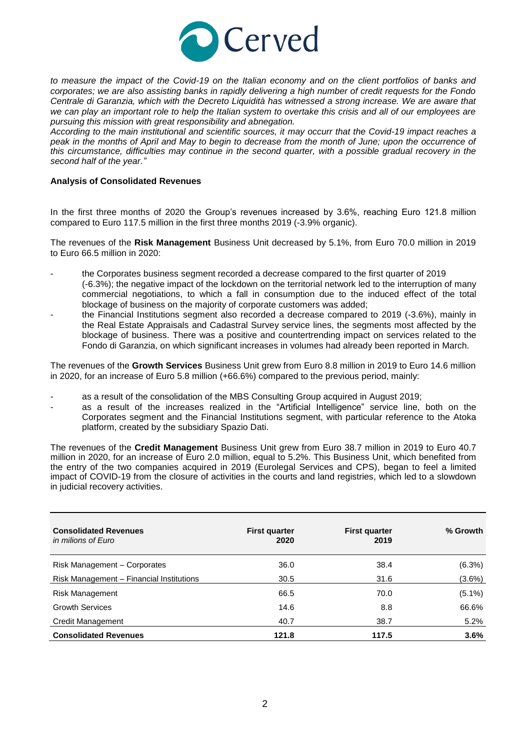

*to measure the impact of the Covid-19 on the Italian economy and on the client portfolios of banks and corporates; we are also assisting banks in rapidly delivering a high number of credit requests for the Fondo Centrale di Garanzia, which with the Decreto Liquidità has witnessed a strong increase. We are aware that we can play an important role to help the Italian system to overtake this crisis and all of our employees are pursuing this mission with great responsibility and abnegation.* 

*According to the main institutional and scientific sources, it may occurr that the Covid-19 impact reaches a peak in the months of April and May to begin to decrease from the month of June; upon the occurrence of this circumstance, difficulties may continue in the second quarter, with a possible gradual recovery in the second half of the year."*

#### **Analysis of Consolidated Revenues**

In the first three months of 2020 the Group's revenues increased by 3.6%, reaching Euro 121.8 million compared to Euro 117.5 million in the first three months 2019 (-3.9% organic).

The revenues of the **Risk Management** Business Unit decreased by 5.1%, from Euro 70.0 million in 2019 to Euro 66.5 million in 2020:

- the Corporates business segment recorded a decrease compared to the first quarter of 2019 (-6.3%); the negative impact of the lockdown on the territorial network led to the interruption of many commercial negotiations, to which a fall in consumption due to the induced effect of the total blockage of business on the majority of corporate customers was added;
- the Financial Institutions segment also recorded a decrease compared to 2019 (-3.6%), mainly in the Real Estate Appraisals and Cadastral Survey service lines, the segments most affected by the blockage of business. There was a positive and countertrending impact on services related to the Fondo di Garanzia, on which significant increases in volumes had already been reported in March.

The revenues of the **Growth Services** Business Unit grew from Euro 8.8 million in 2019 to Euro 14.6 million in 2020, for an increase of Euro 5.8 million (+66.6%) compared to the previous period, mainly:

- as a result of the consolidation of the MBS Consulting Group acquired in August 2019;
- as a result of the increases realized in the "Artificial Intelligence" service line, both on the Corporates segment and the Financial Institutions segment, with particular reference to the Atoka platform, created by the subsidiary Spazio Dati.

The revenues of the **Credit Management** Business Unit grew from Euro 38.7 million in 2019 to Euro 40.7 million in 2020, for an increase of Euro 2.0 million, equal to 5.2%. This Business Unit, which benefited from the entry of the two companies acquired in 2019 (Eurolegal Services and CPS), began to feel a limited impact of COVID-19 from the closure of activities in the courts and land registries, which led to a slowdown in judicial recovery activities.

| <b>Consolidated Revenues</b><br>in milions of Euro | <b>First quarter</b><br>2020 | <b>First quarter</b><br>2019 | % Growth  |
|----------------------------------------------------|------------------------------|------------------------------|-----------|
| Risk Management - Corporates                       | 36.0                         | 38.4                         | (6.3%)    |
| Risk Management - Financial Institutions           | 30.5                         | 31.6                         | $(3.6\%)$ |
| <b>Risk Management</b>                             | 66.5                         | 70.0                         | $(5.1\%)$ |
| <b>Growth Services</b>                             | 14.6                         | 8.8                          | 66.6%     |
| Credit Management                                  | 40.7                         | 38.7                         | 5.2%      |
| <b>Consolidated Revenues</b>                       | 121.8                        | 117.5                        | 3.6%      |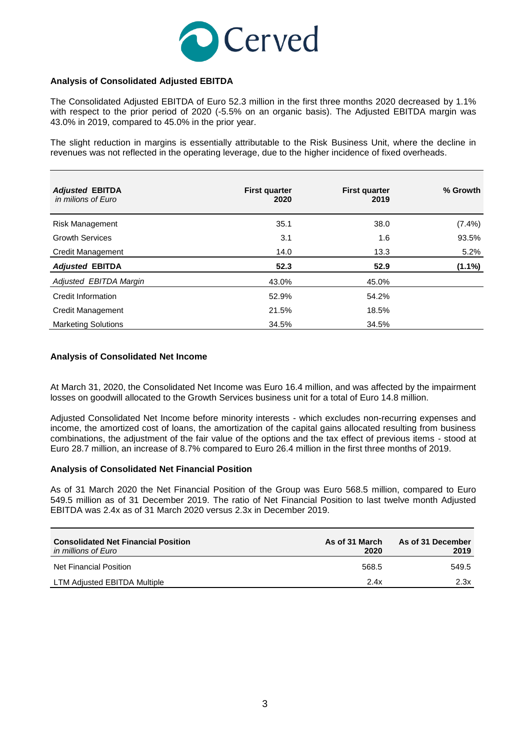

#### **Analysis of Consolidated Adjusted EBITDA**

The Consolidated Adjusted EBITDA of Euro 52.3 million in the first three months 2020 decreased by 1.1% with respect to the prior period of 2020 (-5.5% on an organic basis). The Adjusted EBITDA margin was 43.0% in 2019, compared to 45.0% in the prior year.

The slight reduction in margins is essentially attributable to the Risk Business Unit, where the decline in revenues was not reflected in the operating leverage, due to the higher incidence of fixed overheads.

| <b>Adjusted EBITDA</b><br>in milions of Euro | <b>First quarter</b><br>2020 | <b>First quarter</b><br>2019 | % Growth  |
|----------------------------------------------|------------------------------|------------------------------|-----------|
| <b>Risk Management</b>                       | 35.1                         | 38.0                         | $(7.4\%)$ |
| <b>Growth Services</b>                       | 3.1                          | 1.6                          | 93.5%     |
| <b>Credit Management</b>                     | 14.0                         | 13.3                         | 5.2%      |
| <b>Adjusted EBITDA</b>                       | 52.3                         | 52.9                         | $(1.1\%)$ |
| Adjusted EBITDA Margin                       | 43.0%                        | 45.0%                        |           |
| Credit Information                           | 52.9%                        | 54.2%                        |           |
| <b>Credit Management</b>                     | 21.5%                        | 18.5%                        |           |
| <b>Marketing Solutions</b>                   | 34.5%                        | 34.5%                        |           |

#### **Analysis of Consolidated Net Income**

At March 31, 2020, the Consolidated Net Income was Euro 16.4 million, and was affected by the impairment losses on goodwill allocated to the Growth Services business unit for a total of Euro 14.8 million.

Adjusted Consolidated Net Income before minority interests - which excludes non-recurring expenses and income, the amortized cost of loans, the amortization of the capital gains allocated resulting from business combinations, the adjustment of the fair value of the options and the tax effect of previous items - stood at Euro 28.7 million, an increase of 8.7% compared to Euro 26.4 million in the first three months of 2019.

#### **Analysis of Consolidated Net Financial Position**

As of 31 March 2020 the Net Financial Position of the Group was Euro 568.5 million, compared to Euro 549.5 million as of 31 December 2019. The ratio of Net Financial Position to last twelve month Adjusted EBITDA was 2.4x as of 31 March 2020 versus 2.3x in December 2019.

| <b>Consolidated Net Financial Position</b><br>in millions of Euro | As of 31 March<br>2020 | As of 31 December<br>2019 |
|-------------------------------------------------------------------|------------------------|---------------------------|
| Net Financial Position                                            | 568.5                  | 549.5                     |
| LTM Adjusted EBITDA Multiple                                      | 2.4x                   | 2.3x                      |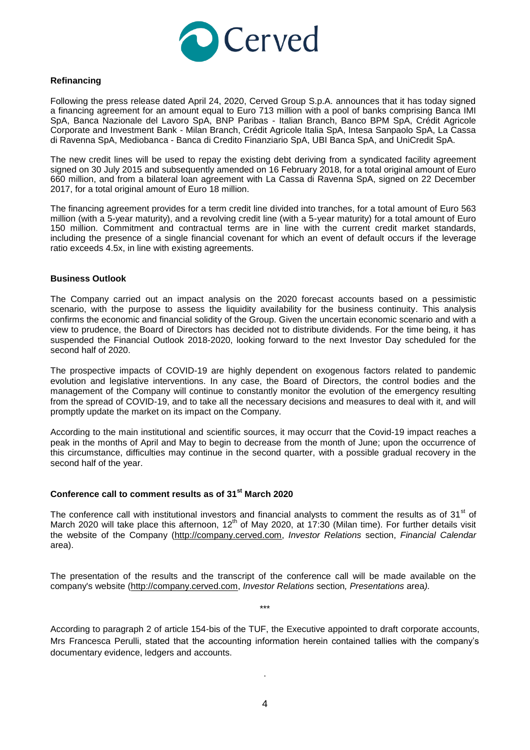

#### **Refinancing**

Following the press release dated April 24, 2020, Cerved Group S.p.A. announces that it has today signed a financing agreement for an amount equal to Euro 713 million with a pool of banks comprising Banca IMI SpA, Banca Nazionale del Lavoro SpA, BNP Paribas - Italian Branch, Banco BPM SpA, Crédit Agricole Corporate and Investment Bank - Milan Branch, Crédit Agricole Italia SpA, Intesa Sanpaolo SpA, La Cassa di Ravenna SpA, Mediobanca - Banca di Credito Finanziario SpA, UBI Banca SpA, and UniCredit SpA.

The new credit lines will be used to repay the existing debt deriving from a syndicated facility agreement signed on 30 July 2015 and subsequently amended on 16 February 2018, for a total original amount of Euro 660 million, and from a bilateral loan agreement with La Cassa di Ravenna SpA, signed on 22 December 2017, for a total original amount of Euro 18 million.

The financing agreement provides for a term credit line divided into tranches, for a total amount of Euro 563 million (with a 5-year maturity), and a revolving credit line (with a 5-year maturity) for a total amount of Euro 150 million. Commitment and contractual terms are in line with the current credit market standards, including the presence of a single financial covenant for which an event of default occurs if the leverage ratio exceeds 4.5x, in line with existing agreements.

#### **Business Outlook**

The Company carried out an impact analysis on the 2020 forecast accounts based on a pessimistic scenario, with the purpose to assess the liquidity availability for the business continuity. This analysis confirms the economic and financial solidity of the Group. Given the uncertain economic scenario and with a view to prudence, the Board of Directors has decided not to distribute dividends. For the time being, it has suspended the Financial Outlook 2018-2020, looking forward to the next Investor Day scheduled for the second half of 2020.

The prospective impacts of COVID-19 are highly dependent on exogenous factors related to pandemic evolution and legislative interventions. In any case, the Board of Directors, the control bodies and the management of the Company will continue to constantly monitor the evolution of the emergency resulting from the spread of COVID-19, and to take all the necessary decisions and measures to deal with it, and will promptly update the market on its impact on the Company.

According to the main institutional and scientific sources, it may occurr that the Covid-19 impact reaches a peak in the months of April and May to begin to decrease from the month of June; upon the occurrence of this circumstance, difficulties may continue in the second quarter, with a possible gradual recovery in the second half of the year.

#### **Conference call to comment results as of 31st March 2020**

The conference call with institutional investors and financial analysts to comment the results as of 31<sup>st</sup> of March 2020 will take place this afternoon, 12<sup>th</sup> of May 2020, at 17:30 (Milan time). For further details visit the website of the Company [\(http://company.cerved.com,](http://company.cerved.com/) *Investor Relations* section, *Financial Calendar* area).

The presentation of the results and the transcript of the conference call will be made available on the company's website [\(http://company.cerved.com,](http://company.cerved.com/) *Investor Relations* section*, Presentations* area*).*

\*\*\*

According to paragraph 2 of article 154-bis of the TUF, the Executive appointed to draft corporate accounts, Mrs Francesca Perulli, stated that the accounting information herein contained tallies with the company's documentary evidence, ledgers and accounts.

.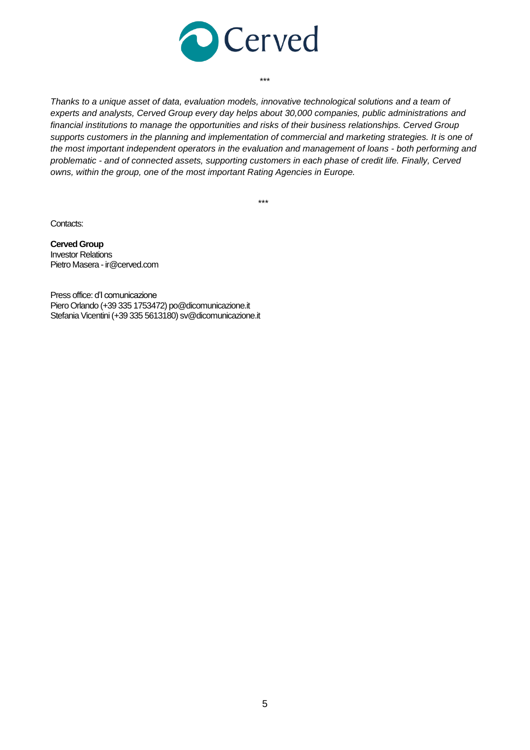

*Thanks to a unique asset of data, evaluation models, innovative technological solutions and a team of experts and analysts, Cerved Group every day helps about 30,000 companies, public administrations and financial institutions to manage the opportunities and risks of their business relationships. Cerved Group supports customers in the planning and implementation of commercial and marketing strategies. It is one of the most important independent operators in the evaluation and management of loans - both performing and problematic - and of connected assets, supporting customers in each phase of credit life. Finally, Cerved owns, within the group, one of the most important Rating Agencies in Europe.*

\*\*\*

\*\*\*

Contacts:

**Cerved Group** Investor Relations Pietro Masera - ir@cerved.com

Press office: d'I comunicazione Piero Orlando (+39 335 1753472) po@dicomunicazione.it Stefania Vicentini (+39 335 5613180) sv@dicomunicazione.it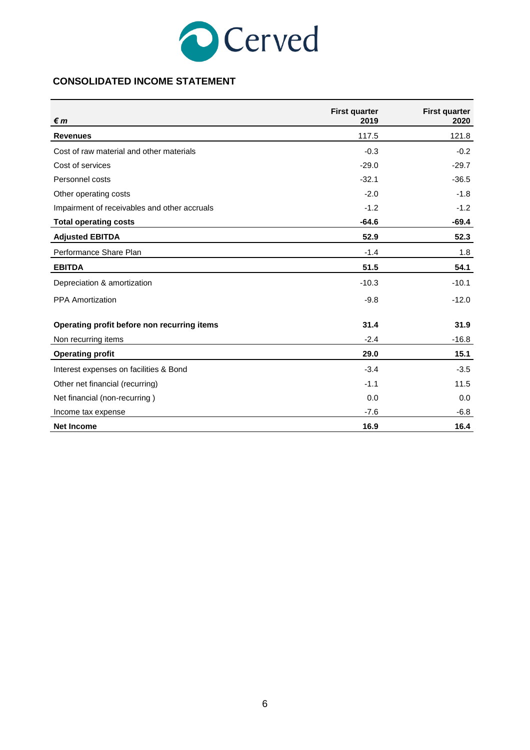

## **CONSOLIDATED INCOME STATEMENT**

| €m                                           | <b>First quarter</b><br>2019 | <b>First quarter</b><br>2020 |
|----------------------------------------------|------------------------------|------------------------------|
| <b>Revenues</b>                              | 117.5                        | 121.8                        |
| Cost of raw material and other materials     | $-0.3$                       | $-0.2$                       |
| Cost of services                             | $-29.0$                      | $-29.7$                      |
| Personnel costs                              | $-32.1$                      | $-36.5$                      |
| Other operating costs                        | $-2.0$                       | $-1.8$                       |
| Impairment of receivables and other accruals | $-1.2$                       | $-1.2$                       |
| <b>Total operating costs</b>                 | $-64.6$                      | $-69.4$                      |
| <b>Adjusted EBITDA</b>                       | 52.9                         | 52.3                         |
| Performance Share Plan                       | $-1.4$                       | 1.8                          |
| <b>EBITDA</b>                                | 51.5                         | 54.1                         |
| Depreciation & amortization                  | $-10.3$                      | $-10.1$                      |
| <b>PPA Amortization</b>                      | $-9.8$                       | $-12.0$                      |
| Operating profit before non recurring items  | 31.4                         | 31.9                         |
| Non recurring items                          | $-2.4$                       | $-16.8$                      |
| <b>Operating profit</b>                      | 29.0                         | 15.1                         |
| Interest expenses on facilities & Bond       | $-3.4$                       | $-3.5$                       |
| Other net financial (recurring)              | $-1.1$                       | 11.5                         |
| Net financial (non-recurring)                | 0.0                          | 0.0                          |
| Income tax expense                           | $-7.6$                       | $-6.8$                       |
| <b>Net Income</b>                            | 16.9                         | 16.4                         |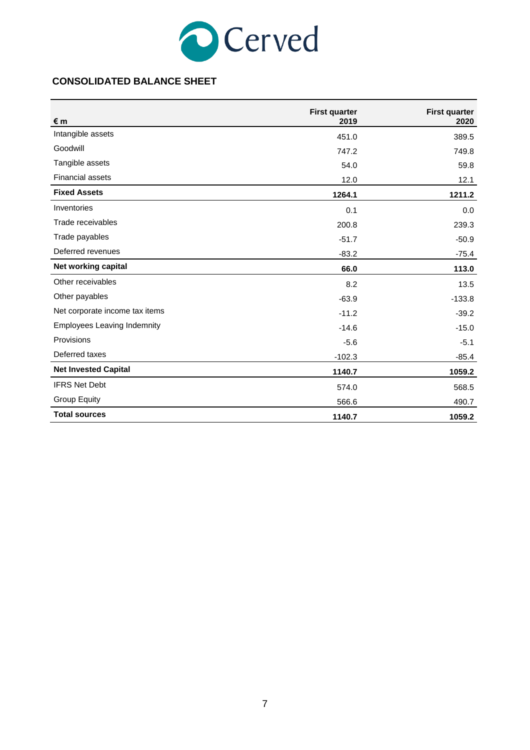

## **CONSOLIDATED BALANCE SHEET**

| € m                                | <b>First quarter</b><br>2019 | <b>First quarter</b><br>2020 |
|------------------------------------|------------------------------|------------------------------|
| Intangible assets                  | 451.0                        | 389.5                        |
| Goodwill                           | 747.2                        | 749.8                        |
| Tangible assets                    | 54.0                         | 59.8                         |
| <b>Financial assets</b>            | 12.0                         | 12.1                         |
| <b>Fixed Assets</b>                | 1264.1                       | 1211.2                       |
| Inventories                        | 0.1                          | 0.0                          |
| Trade receivables                  | 200.8                        | 239.3                        |
| Trade payables                     | $-51.7$                      | $-50.9$                      |
| Deferred revenues                  | $-83.2$                      | $-75.4$                      |
| Net working capital                | 66.0                         | 113.0                        |
| Other receivables                  | 8.2                          | 13.5                         |
| Other payables                     | $-63.9$                      | $-133.8$                     |
| Net corporate income tax items     | $-11.2$                      | $-39.2$                      |
| <b>Employees Leaving Indemnity</b> | $-14.6$                      | $-15.0$                      |
| Provisions                         | $-5.6$                       | $-5.1$                       |
| Deferred taxes                     | $-102.3$                     | $-85.4$                      |
| <b>Net Invested Capital</b>        | 1140.7                       | 1059.2                       |
| <b>IFRS Net Debt</b>               | 574.0                        | 568.5                        |
| <b>Group Equity</b>                | 566.6                        | 490.7                        |
| <b>Total sources</b>               | 1140.7                       | 1059.2                       |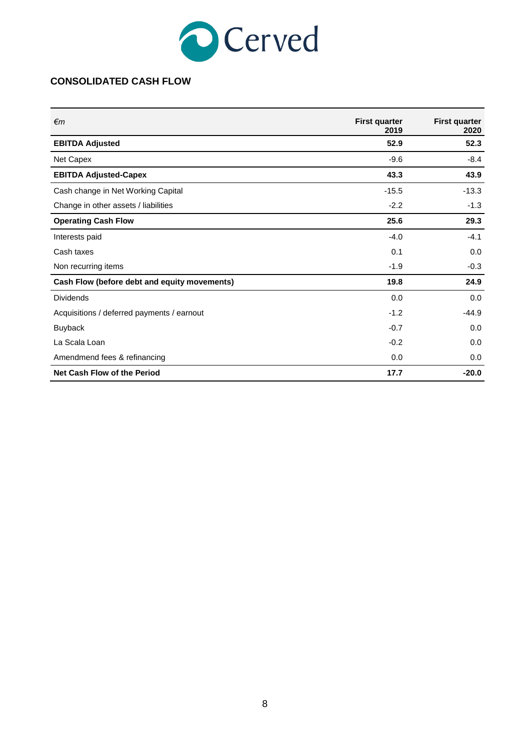

## **CONSOLIDATED CASH FLOW**

| €m                                           | <b>First quarter</b><br>2019 | <b>First quarter</b><br>2020 |
|----------------------------------------------|------------------------------|------------------------------|
| <b>EBITDA Adjusted</b>                       | 52.9                         | 52.3                         |
| Net Capex                                    | $-9.6$                       | $-8.4$                       |
| <b>EBITDA Adjusted-Capex</b>                 | 43.3                         | 43.9                         |
| Cash change in Net Working Capital           | $-15.5$                      | $-13.3$                      |
| Change in other assets / liabilities         | $-2.2$                       | $-1.3$                       |
| <b>Operating Cash Flow</b>                   | 25.6                         | 29.3                         |
| Interests paid                               | $-4.0$                       | $-4.1$                       |
| Cash taxes                                   | 0.1                          | 0.0                          |
| Non recurring items                          | $-1.9$                       | $-0.3$                       |
| Cash Flow (before debt and equity movements) | 19.8                         | 24.9                         |
| <b>Dividends</b>                             | 0.0                          | 0.0                          |
| Acquisitions / deferred payments / earnout   | $-1.2$                       | $-44.9$                      |
| <b>Buyback</b>                               | $-0.7$                       | 0.0                          |
| La Scala Loan                                | $-0.2$                       | 0.0                          |
| Amendmend fees & refinancing                 | 0.0                          | 0.0                          |
| Net Cash Flow of the Period                  | 17.7                         | $-20.0$                      |